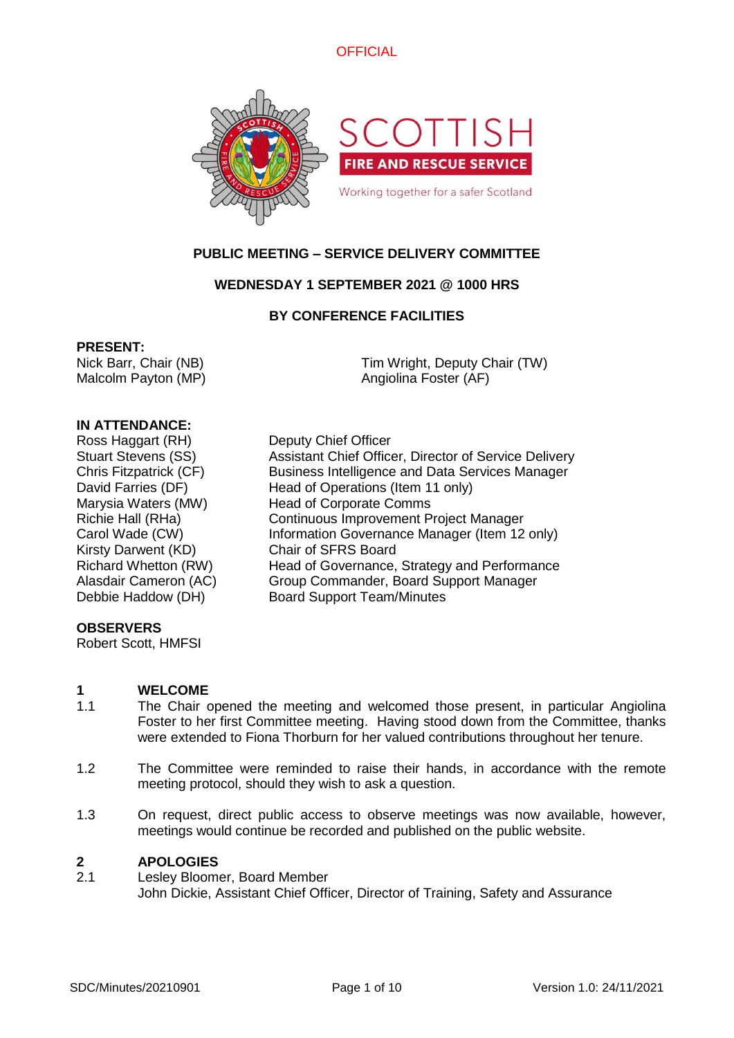



# **PUBLIC MEETING – SERVICE DELIVERY COMMITTEE**

# **WEDNESDAY 1 SEPTEMBER 2021 @ 1000 HRS**

### **BY CONFERENCE FACILITIES**

### **PRESENT:**

Nick Barr, Chair (NB) Malcolm Payton (MP)

Tim Wright, Deputy Chair (TW) Angiolina Foster (AF)

### **IN ATTENDANCE:**

Ross Haggart (RH) Deputy Chief Officer Stuart Stevens (SS) Assistant Chief Officer, Director of Service Delivery Chris Fitzpatrick (CF) Business Intelligence and Data Services Manager David Farries (DF) Head of Operations (Item 11 only) Kirsty Darwent (KD) Chair of SFRS Board

### **OBSERVERS**

Robert Scott, HMFSI

Marysia Waters (MW) Head of Corporate Comms Richie Hall (RHa) Continuous Improvement Project Manager Carol Wade (CW) **Information Governance Manager (Item 12 only)** Richard Whetton (RW) Head of Governance, Strategy and Performance Alasdair Cameron (AC) Group Commander, Board Support Manager Debbie Haddow (DH) Board Support Team/Minutes

# **1 WELCOME**

- 1.1 The Chair opened the meeting and welcomed those present, in particular Angiolina Foster to her first Committee meeting. Having stood down from the Committee, thanks were extended to Fiona Thorburn for her valued contributions throughout her tenure.
- 1.2 The Committee were reminded to raise their hands, in accordance with the remote meeting protocol, should they wish to ask a question.
- 1.3 On request, direct public access to observe meetings was now available, however, meetings would continue be recorded and published on the public website.

### **2 APOLOGIES**

2.1 Lesley Bloomer, Board Member John Dickie, Assistant Chief Officer, Director of Training, Safety and Assurance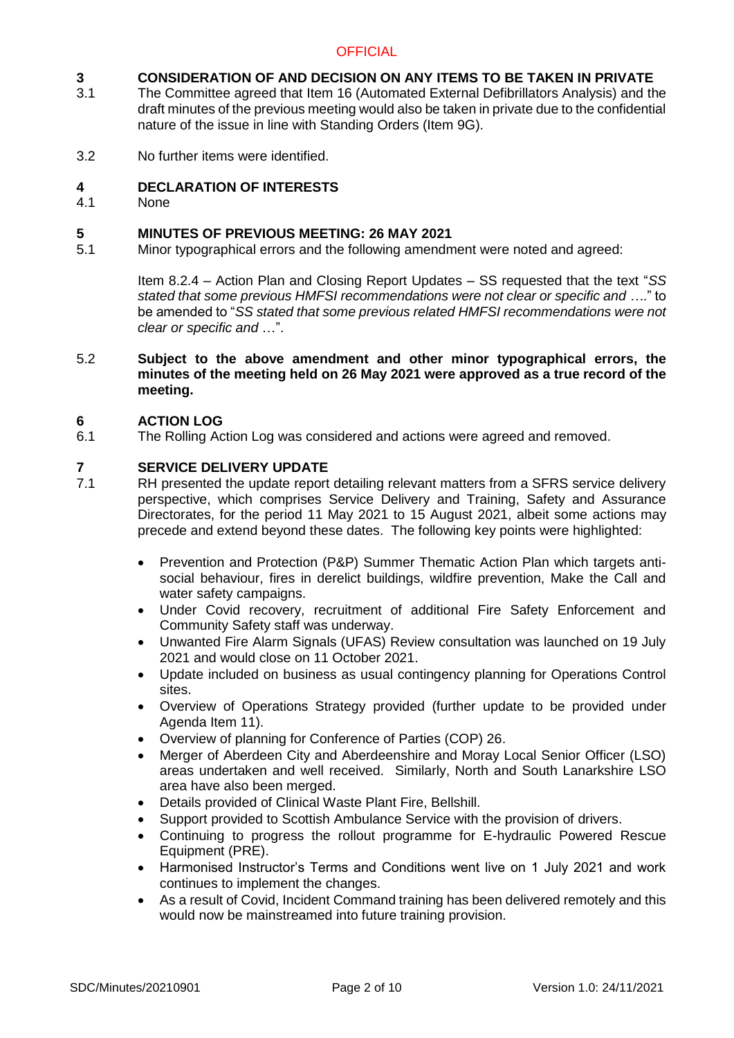### **3 CONSIDERATION OF AND DECISION ON ANY ITEMS TO BE TAKEN IN PRIVATE**

- 3.1 The Committee agreed that Item 16 (Automated External Defibrillators Analysis) and the draft minutes of the previous meeting would also be taken in private due to the confidential nature of the issue in line with Standing Orders (Item 9G).
- 3.2 No further items were identified.

### **4 DECLARATION OF INTERESTS**

4.1 None

### **5 MINUTES OF PREVIOUS MEETING: 26 MAY 2021**

5.1 Minor typographical errors and the following amendment were noted and agreed:

> Item 8.2.4 – Action Plan and Closing Report Updates – SS requested that the text "*SS stated that some previous HMFSI recommendations were not clear or specific and …*." to be amended to "*SS stated that some previous related HMFSI recommendations were not clear or specific and* …".

5.2 **Subject to the above amendment and other minor typographical errors, the minutes of the meeting held on 26 May 2021 were approved as a true record of the meeting.**

### **6 ACTION LOG**

6.1 The Rolling Action Log was considered and actions were agreed and removed.

# **7 SERVICE DELIVERY UPDATE**

- RH presented the update report detailing relevant matters from a SFRS service delivery perspective, which comprises Service Delivery and Training, Safety and Assurance Directorates, for the period 11 May 2021 to 15 August 2021, albeit some actions may precede and extend beyond these dates. The following key points were highlighted:
	- Prevention and Protection (P&P) Summer Thematic Action Plan which targets antisocial behaviour, fires in derelict buildings, wildfire prevention, Make the Call and water safety campaigns.
	- Under Covid recovery, recruitment of additional Fire Safety Enforcement and Community Safety staff was underway.
	- Unwanted Fire Alarm Signals (UFAS) Review consultation was launched on 19 July 2021 and would close on 11 October 2021.
	- Update included on business as usual contingency planning for Operations Control sites.
	- Overview of Operations Strategy provided (further update to be provided under Agenda Item 11).
	- Overview of planning for Conference of Parties (COP) 26.
	- Merger of Aberdeen City and Aberdeenshire and Moray Local Senior Officer (LSO) areas undertaken and well received. Similarly, North and South Lanarkshire LSO area have also been merged.
	- Details provided of Clinical Waste Plant Fire, Bellshill.
	- Support provided to Scottish Ambulance Service with the provision of drivers.
	- Continuing to progress the rollout programme for E-hydraulic Powered Rescue Equipment (PRE).
	- Harmonised Instructor's Terms and Conditions went live on 1 July 2021 and work continues to implement the changes.
	- As a result of Covid, Incident Command training has been delivered remotely and this would now be mainstreamed into future training provision.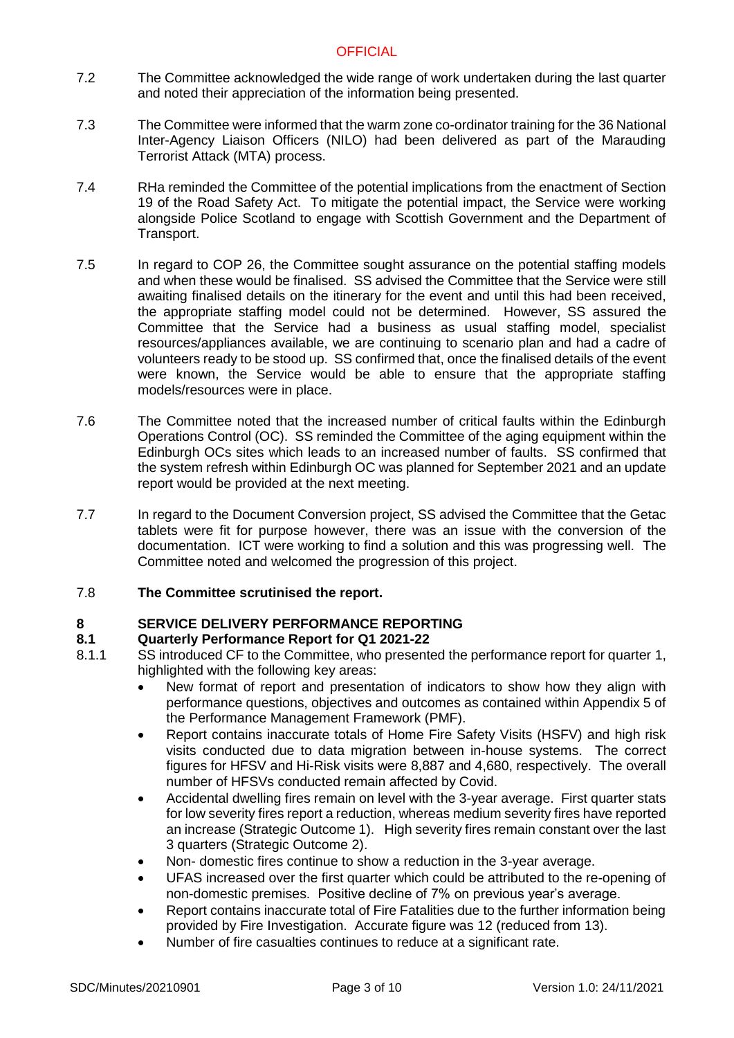- 7.2 The Committee acknowledged the wide range of work undertaken during the last quarter and noted their appreciation of the information being presented.
- 7.3 The Committee were informed that the warm zone co-ordinator training for the 36 National Inter-Agency Liaison Officers (NILO) had been delivered as part of the Marauding Terrorist Attack (MTA) process.
- 7.4 RHa reminded the Committee of the potential implications from the enactment of Section 19 of the Road Safety Act. To mitigate the potential impact, the Service were working alongside Police Scotland to engage with Scottish Government and the Department of Transport.
- 7.5 In regard to COP 26, the Committee sought assurance on the potential staffing models and when these would be finalised. SS advised the Committee that the Service were still awaiting finalised details on the itinerary for the event and until this had been received, the appropriate staffing model could not be determined. However, SS assured the Committee that the Service had a business as usual staffing model, specialist resources/appliances available, we are continuing to scenario plan and had a cadre of volunteers ready to be stood up. SS confirmed that, once the finalised details of the event were known, the Service would be able to ensure that the appropriate staffing models/resources were in place.
- 7.6 The Committee noted that the increased number of critical faults within the Edinburgh Operations Control (OC). SS reminded the Committee of the aging equipment within the Edinburgh OCs sites which leads to an increased number of faults. SS confirmed that the system refresh within Edinburgh OC was planned for September 2021 and an update report would be provided at the next meeting.
- 7.7 In regard to the Document Conversion project, SS advised the Committee that the Getac tablets were fit for purpose however, there was an issue with the conversion of the documentation. ICT were working to find a solution and this was progressing well. The Committee noted and welcomed the progression of this project.

#### 7.8 **The Committee scrutinised the report.**

# **8 SERVICE DELIVERY PERFORMANCE REPORTING**

# **8.1 Quarterly Performance Report for Q1 2021-22**

- 8.1.1 SS introduced CF to the Committee, who presented the performance report for quarter 1, highlighted with the following key areas:
	- New format of report and presentation of indicators to show how they align with performance questions, objectives and outcomes as contained within Appendix 5 of the Performance Management Framework (PMF).
	- Report contains inaccurate totals of Home Fire Safety Visits (HSFV) and high risk visits conducted due to data migration between in-house systems. The correct figures for HFSV and Hi-Risk visits were 8,887 and 4,680, respectively. The overall number of HFSVs conducted remain affected by Covid.
	- Accidental dwelling fires remain on level with the 3-year average. First quarter stats for low severity fires report a reduction, whereas medium severity fires have reported an increase (Strategic Outcome 1). High severity fires remain constant over the last 3 quarters (Strategic Outcome 2).
	- Non- domestic fires continue to show a reduction in the 3-year average.
	- UFAS increased over the first quarter which could be attributed to the re-opening of non-domestic premises. Positive decline of 7% on previous year's average.
	- Report contains inaccurate total of Fire Fatalities due to the further information being provided by Fire Investigation. Accurate figure was 12 (reduced from 13).
	- Number of fire casualties continues to reduce at a significant rate.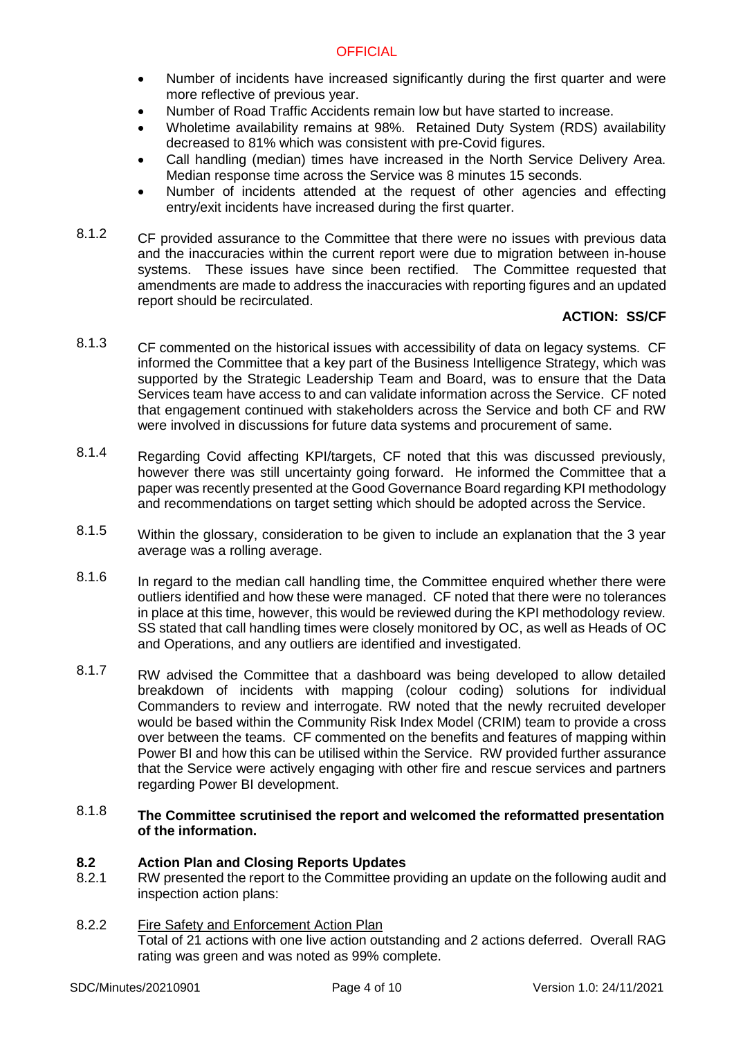- Number of incidents have increased significantly during the first quarter and were more reflective of previous year.
- Number of Road Traffic Accidents remain low but have started to increase.
- Wholetime availability remains at 98%. Retained Duty System (RDS) availability decreased to 81% which was consistent with pre-Covid figures.
- Call handling (median) times have increased in the North Service Delivery Area. Median response time across the Service was 8 minutes 15 seconds.
- Number of incidents attended at the request of other agencies and effecting entry/exit incidents have increased during the first quarter.
- 8.1.2 CF provided assurance to the Committee that there were no issues with previous data and the inaccuracies within the current report were due to migration between in-house systems. These issues have since been rectified. The Committee requested that amendments are made to address the inaccuracies with reporting figures and an updated report should be recirculated.

# **ACTION: SS/CF**

- 8.1.3 CF commented on the historical issues with accessibility of data on legacy systems. CF informed the Committee that a key part of the Business Intelligence Strategy, which was supported by the Strategic Leadership Team and Board, was to ensure that the Data Services team have access to and can validate information across the Service. CF noted that engagement continued with stakeholders across the Service and both CF and RW were involved in discussions for future data systems and procurement of same.
- 8.1.4 Regarding Covid affecting KPI/targets, CF noted that this was discussed previously, however there was still uncertainty going forward. He informed the Committee that a paper was recently presented at the Good Governance Board regarding KPI methodology and recommendations on target setting which should be adopted across the Service.
- 8.1.5 Within the glossary, consideration to be given to include an explanation that the 3 year average was a rolling average.
- 8.1.6 In regard to the median call handling time, the Committee enquired whether there were outliers identified and how these were managed. CF noted that there were no tolerances in place at this time, however, this would be reviewed during the KPI methodology review. SS stated that call handling times were closely monitored by OC, as well as Heads of OC and Operations, and any outliers are identified and investigated.
- 8.1.7 RW advised the Committee that a dashboard was being developed to allow detailed breakdown of incidents with mapping (colour coding) solutions for individual Commanders to review and interrogate. RW noted that the newly recruited developer would be based within the Community Risk Index Model (CRIM) team to provide a cross over between the teams. CF commented on the benefits and features of mapping within Power BI and how this can be utilised within the Service. RW provided further assurance that the Service were actively engaging with other fire and rescue services and partners regarding Power BI development.
- 8.1.8 **The Committee scrutinised the report and welcomed the reformatted presentation of the information.**

# **8.2 Action Plan and Closing Reports Updates**

- 8.2.1 RW presented the report to the Committee providing an update on the following audit and inspection action plans:
- 8.2.2 Fire Safety and Enforcement Action Plan Total of 21 actions with one live action outstanding and 2 actions deferred. Overall RAG rating was green and was noted as 99% complete.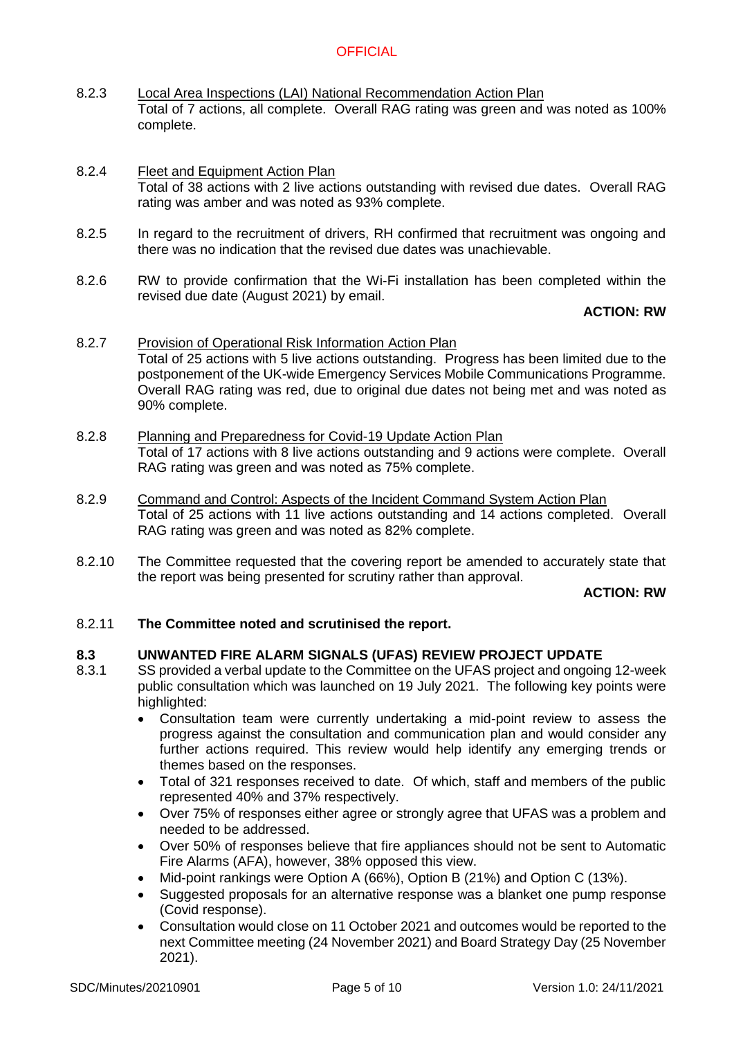- 8.2.3 Local Area Inspections (LAI) National Recommendation Action Plan Total of 7 actions, all complete. Overall RAG rating was green and was noted as 100% complete.
- 8.2.4 Fleet and Equipment Action Plan Total of 38 actions with 2 live actions outstanding with revised due dates. Overall RAG rating was amber and was noted as 93% complete.
- 8.2.5 In regard to the recruitment of drivers, RH confirmed that recruitment was ongoing and there was no indication that the revised due dates was unachievable.
- 8.2.6 RW to provide confirmation that the Wi-Fi installation has been completed within the revised due date (August 2021) by email.

### **ACTION: RW**

- 8.2.7 Provision of Operational Risk Information Action Plan Total of 25 actions with 5 live actions outstanding. Progress has been limited due to the postponement of the UK-wide Emergency Services Mobile Communications Programme. Overall RAG rating was red, due to original due dates not being met and was noted as 90% complete.
- 8.2.8 Planning and Preparedness for Covid-19 Update Action Plan Total of 17 actions with 8 live actions outstanding and 9 actions were complete. Overall RAG rating was green and was noted as 75% complete.
- 8.2.9 Command and Control: Aspects of the Incident Command System Action Plan Total of 25 actions with 11 live actions outstanding and 14 actions completed. Overall RAG rating was green and was noted as 82% complete.
- 8.2.10 The Committee requested that the covering report be amended to accurately state that the report was being presented for scrutiny rather than approval.

### **ACTION: RW**

#### 8.2.11 **The Committee noted and scrutinised the report.**

#### **8.3 UNWANTED FIRE ALARM SIGNALS (UFAS) REVIEW PROJECT UPDATE**

- 8.3.1 SS provided a verbal update to the Committee on the UFAS project and ongoing 12-week public consultation which was launched on 19 July 2021. The following key points were highlighted:
	- Consultation team were currently undertaking a mid-point review to assess the progress against the consultation and communication plan and would consider any further actions required. This review would help identify any emerging trends or themes based on the responses.
	- Total of 321 responses received to date. Of which, staff and members of the public represented 40% and 37% respectively.
	- Over 75% of responses either agree or strongly agree that UFAS was a problem and needed to be addressed.
	- Over 50% of responses believe that fire appliances should not be sent to Automatic Fire Alarms (AFA), however, 38% opposed this view.
	- Mid-point rankings were Option A (66%), Option B (21%) and Option C (13%).
	- Suggested proposals for an alternative response was a blanket one pump response (Covid response).
	- Consultation would close on 11 October 2021 and outcomes would be reported to the next Committee meeting (24 November 2021) and Board Strategy Day (25 November 2021).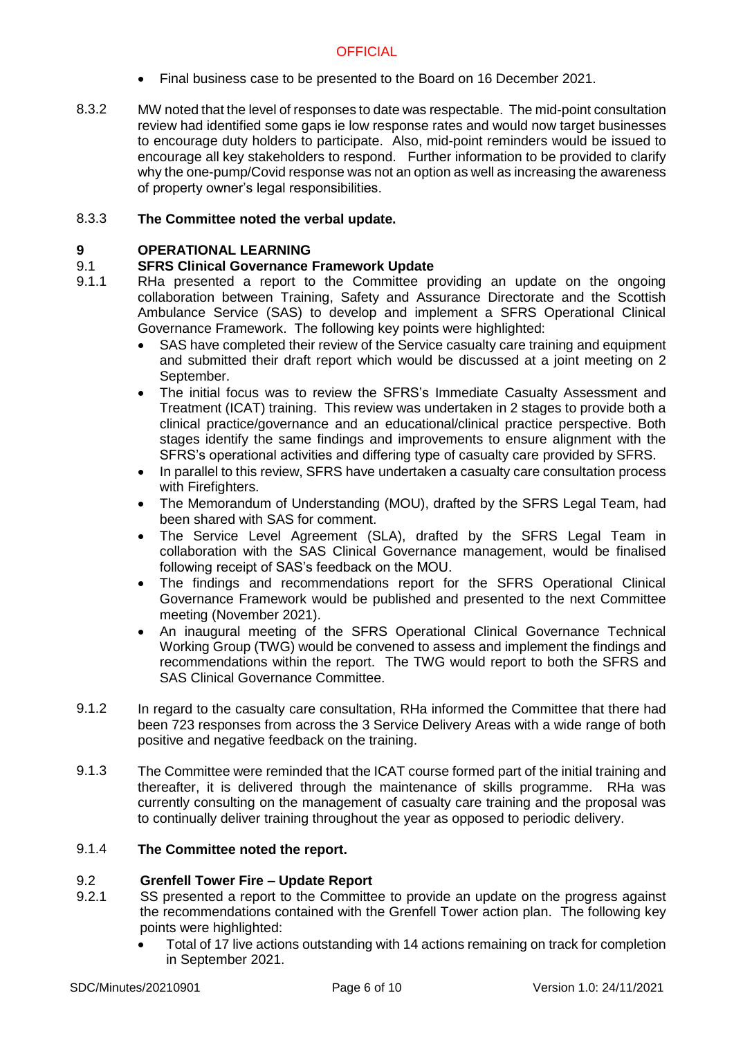- Final business case to be presented to the Board on 16 December 2021.
- 8.3.2 MW noted that the level of responses to date was respectable. The mid-point consultation review had identified some gaps ie low response rates and would now target businesses to encourage duty holders to participate. Also, mid-point reminders would be issued to encourage all key stakeholders to respond. Further information to be provided to clarify why the one-pump/Covid response was not an option as well as increasing the awareness of property owner's legal responsibilities.

#### 8.3.3 **The Committee noted the verbal update.**

# **9 OPERATIONAL LEARNING**

#### 9.1 **SFRS Clinical Governance Framework Update**

- 9.1.1 RHa presented a report to the Committee providing an update on the ongoing collaboration between Training, Safety and Assurance Directorate and the Scottish Ambulance Service (SAS) to develop and implement a SFRS Operational Clinical Governance Framework. The following key points were highlighted:
	- SAS have completed their review of the Service casualty care training and equipment and submitted their draft report which would be discussed at a joint meeting on 2 September.
	- The initial focus was to review the SFRS's Immediate Casualty Assessment and Treatment (ICAT) training. This review was undertaken in 2 stages to provide both a clinical practice/governance and an educational/clinical practice perspective. Both stages identify the same findings and improvements to ensure alignment with the SFRS's operational activities and differing type of casualty care provided by SFRS.
	- In parallel to this review, SFRS have undertaken a casualty care consultation process with Firefighters.
	- The Memorandum of Understanding (MOU), drafted by the SFRS Legal Team, had been shared with SAS for comment.
	- The Service Level Agreement (SLA), drafted by the SFRS Legal Team in collaboration with the SAS Clinical Governance management, would be finalised following receipt of SAS's feedback on the MOU.
	- The findings and recommendations report for the SFRS Operational Clinical Governance Framework would be published and presented to the next Committee meeting (November 2021).
	- An inaugural meeting of the SFRS Operational Clinical Governance Technical Working Group (TWG) would be convened to assess and implement the findings and recommendations within the report. The TWG would report to both the SFRS and SAS Clinical Governance Committee.
- 9.1.2 In regard to the casualty care consultation, RHa informed the Committee that there had been 723 responses from across the 3 Service Delivery Areas with a wide range of both positive and negative feedback on the training.
- 9.1.3 The Committee were reminded that the ICAT course formed part of the initial training and thereafter, it is delivered through the maintenance of skills programme. RHa was currently consulting on the management of casualty care training and the proposal was to continually deliver training throughout the year as opposed to periodic delivery.

#### 9.1.4 **The Committee noted the report.**

# 9.2 **Grenfell Tower Fire – Update Report**

- 9.2.1 SS presented a report to the Committee to provide an update on the progress against the recommendations contained with the Grenfell Tower action plan. The following key points were highlighted:
	- Total of 17 live actions outstanding with 14 actions remaining on track for completion in September 2021.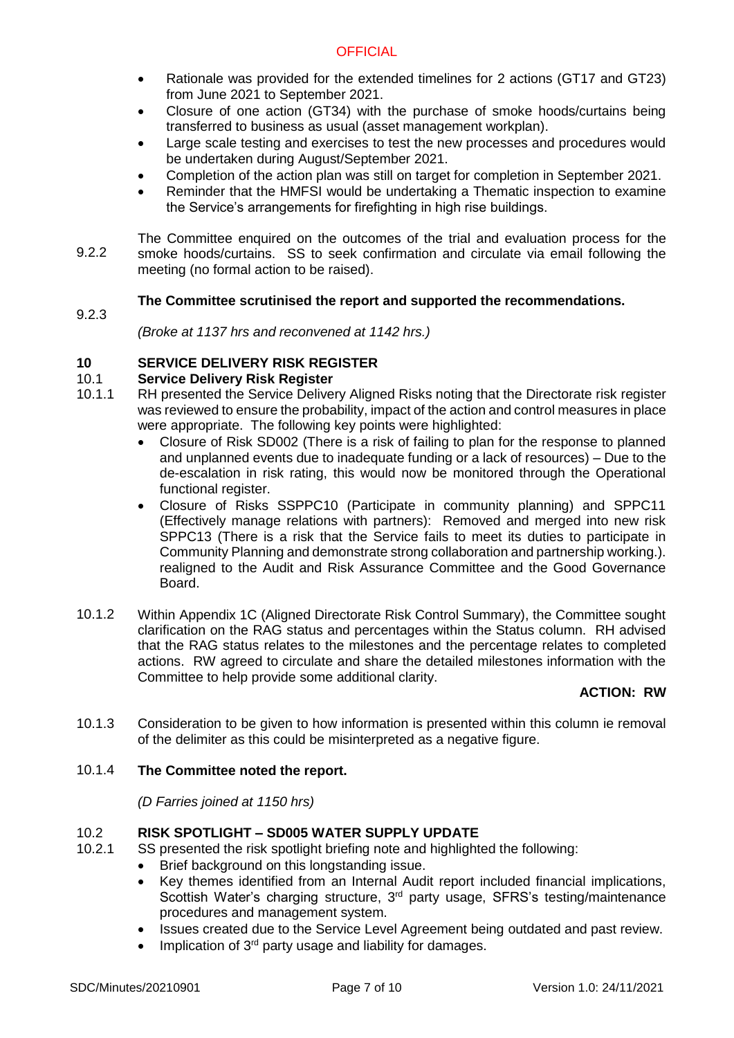- Rationale was provided for the extended timelines for 2 actions (GT17 and GT23) from June 2021 to September 2021.
- Closure of one action (GT34) with the purchase of smoke hoods/curtains being transferred to business as usual (asset management workplan).
- Large scale testing and exercises to test the new processes and procedures would be undertaken during August/September 2021.
- Completion of the action plan was still on target for completion in September 2021.
- Reminder that the HMFSI would be undertaking a Thematic inspection to examine the Service's arrangements for firefighting in high rise buildings.
- 9.2.2 The Committee enquired on the outcomes of the trial and evaluation process for the smoke hoods/curtains. SS to seek confirmation and circulate via email following the meeting (no formal action to be raised).

### 9.2.3 **The Committee scrutinised the report and supported the recommendations.**

*(Broke at 1137 hrs and reconvened at 1142 hrs.)*

# **10 SERVICE DELIVERY RISK REGISTER**

### 10.1 **Service Delivery Risk Register**

- 10.1.1 RH presented the Service Delivery Aligned Risks noting that the Directorate risk register was reviewed to ensure the probability, impact of the action and control measures in place were appropriate. The following key points were highlighted:
	- Closure of Risk SD002 (There is a risk of failing to plan for the response to planned and unplanned events due to inadequate funding or a lack of resources) – Due to the de-escalation in risk rating, this would now be monitored through the Operational functional register.
	- Closure of Risks SSPPC10 (Participate in community planning) and SPPC11 (Effectively manage relations with partners): Removed and merged into new risk SPPC13 (There is a risk that the Service fails to meet its duties to participate in Community Planning and demonstrate strong collaboration and partnership working.). realigned to the Audit and Risk Assurance Committee and the Good Governance Board.
- 10.1.2 Within Appendix 1C (Aligned Directorate Risk Control Summary), the Committee sought clarification on the RAG status and percentages within the Status column. RH advised that the RAG status relates to the milestones and the percentage relates to completed actions. RW agreed to circulate and share the detailed milestones information with the Committee to help provide some additional clarity.

# **ACTION: RW**

10.1.3 Consideration to be given to how information is presented within this column ie removal of the delimiter as this could be misinterpreted as a negative figure.

#### 10.1.4 **The Committee noted the report.**

*(D Farries joined at 1150 hrs)* 

# 10.2 **RISK SPOTLIGHT – SD005 WATER SUPPLY UPDATE**

- 10.2.1 SS presented the risk spotlight briefing note and highlighted the following:
	- Brief background on this longstanding issue.
	- Key themes identified from an Internal Audit report included financial implications, Scottish Water's charging structure, 3<sup>rd</sup> party usage, SFRS's testing/maintenance procedures and management system.
	- Issues created due to the Service Level Agreement being outdated and past review.
	- Implication of  $3<sup>rd</sup>$  party usage and liability for damages.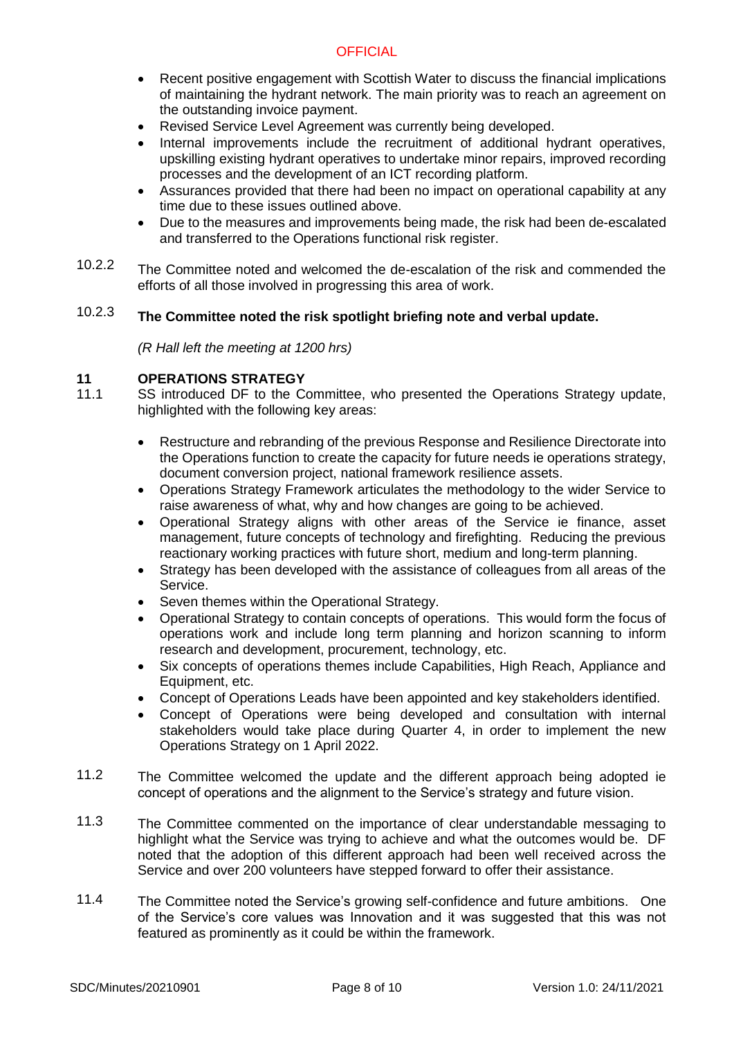- Recent positive engagement with Scottish Water to discuss the financial implications of maintaining the hydrant network. The main priority was to reach an agreement on the outstanding invoice payment.
- Revised Service Level Agreement was currently being developed.
- Internal improvements include the recruitment of additional hydrant operatives, upskilling existing hydrant operatives to undertake minor repairs, improved recording processes and the development of an ICT recording platform.
- Assurances provided that there had been no impact on operational capability at any time due to these issues outlined above.
- Due to the measures and improvements being made, the risk had been de-escalated and transferred to the Operations functional risk register.
- 10.2.2 The Committee noted and welcomed the de-escalation of the risk and commended the efforts of all those involved in progressing this area of work.

#### 10.2.3 **The Committee noted the risk spotlight briefing note and verbal update.**

*(R Hall left the meeting at 1200 hrs)*

# **11 OPERATIONS STRATEGY**

- 11.1 SS introduced DF to the Committee, who presented the Operations Strategy update, highlighted with the following key areas:
	- Restructure and rebranding of the previous Response and Resilience Directorate into the Operations function to create the capacity for future needs ie operations strategy, document conversion project, national framework resilience assets.
	- Operations Strategy Framework articulates the methodology to the wider Service to raise awareness of what, why and how changes are going to be achieved.
	- Operational Strategy aligns with other areas of the Service ie finance, asset management, future concepts of technology and firefighting. Reducing the previous reactionary working practices with future short, medium and long-term planning.
	- Strategy has been developed with the assistance of colleagues from all areas of the Service.
	- Seven themes within the Operational Strategy.
	- Operational Strategy to contain concepts of operations. This would form the focus of operations work and include long term planning and horizon scanning to inform research and development, procurement, technology, etc.
	- Six concepts of operations themes include Capabilities, High Reach, Appliance and Equipment, etc.
	- Concept of Operations Leads have been appointed and key stakeholders identified.
	- Concept of Operations were being developed and consultation with internal stakeholders would take place during Quarter 4, in order to implement the new Operations Strategy on 1 April 2022.
- 11.2 The Committee welcomed the update and the different approach being adopted ie concept of operations and the alignment to the Service's strategy and future vision.
- 11.3 The Committee commented on the importance of clear understandable messaging to highlight what the Service was trying to achieve and what the outcomes would be. DF noted that the adoption of this different approach had been well received across the Service and over 200 volunteers have stepped forward to offer their assistance.
- 11.4 The Committee noted the Service's growing self-confidence and future ambitions. One of the Service's core values was Innovation and it was suggested that this was not featured as prominently as it could be within the framework.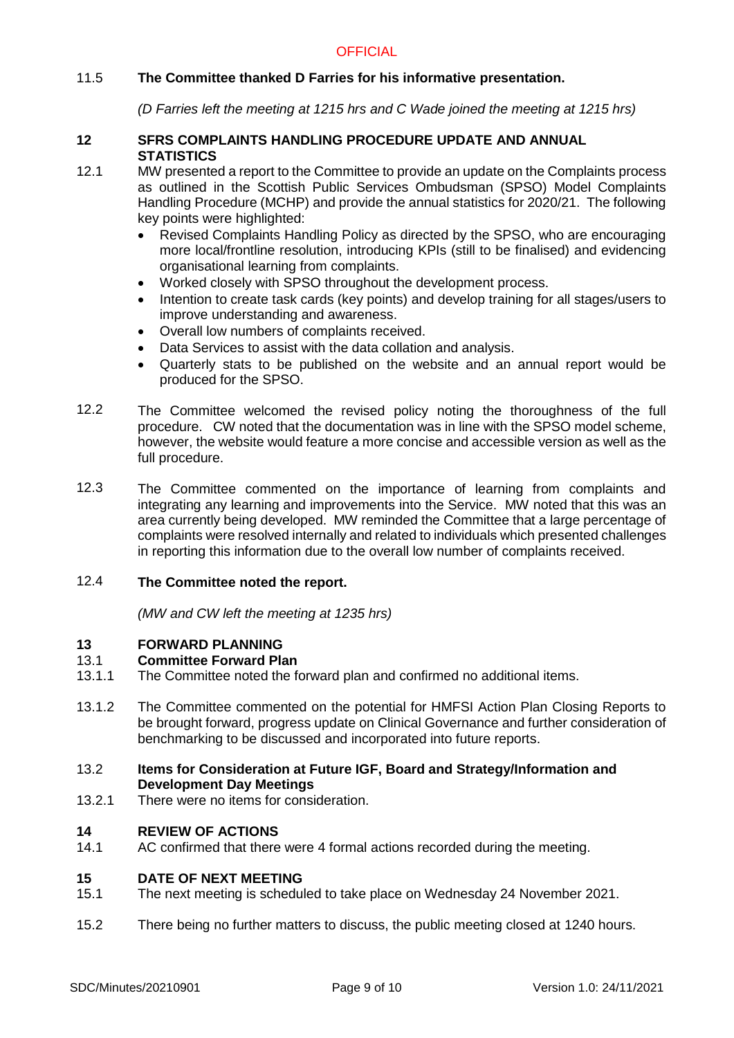# 11.5 **The Committee thanked D Farries for his informative presentation.**

*(D Farries left the meeting at 1215 hrs and C Wade joined the meeting at 1215 hrs)*

### **12 SFRS COMPLAINTS HANDLING PROCEDURE UPDATE AND ANNUAL STATISTICS**

- 12.1 MW presented a report to the Committee to provide an update on the Complaints process as outlined in the Scottish Public Services Ombudsman (SPSO) Model Complaints Handling Procedure (MCHP) and provide the annual statistics for 2020/21. The following key points were highlighted:
	- Revised Complaints Handling Policy as directed by the SPSO, who are encouraging more local/frontline resolution, introducing KPIs (still to be finalised) and evidencing organisational learning from complaints.
	- Worked closely with SPSO throughout the development process.
	- Intention to create task cards (key points) and develop training for all stages/users to improve understanding and awareness.
	- Overall low numbers of complaints received.
	- Data Services to assist with the data collation and analysis.
	- Quarterly stats to be published on the website and an annual report would be produced for the SPSO.
- 12.2 The Committee welcomed the revised policy noting the thoroughness of the full procedure. CW noted that the documentation was in line with the SPSO model scheme, however, the website would feature a more concise and accessible version as well as the full procedure.
- 12.3 The Committee commented on the importance of learning from complaints and integrating any learning and improvements into the Service. MW noted that this was an area currently being developed. MW reminded the Committee that a large percentage of complaints were resolved internally and related to individuals which presented challenges in reporting this information due to the overall low number of complaints received.

#### 12.4 **The Committee noted the report.**

*(MW and CW left the meeting at 1235 hrs)*

### **13 FORWARD PLANNING**

### 13.1 **Committee Forward Plan**

- 13.1.1 The Committee noted the forward plan and confirmed no additional items.
- 13.1.2 The Committee commented on the potential for HMFSI Action Plan Closing Reports to be brought forward, progress update on Clinical Governance and further consideration of benchmarking to be discussed and incorporated into future reports.

### 13.2 **Items for Consideration at Future IGF, Board and Strategy/Information and Development Day Meetings**

13.2.1 There were no items for consideration.

### **14 REVIEW OF ACTIONS**

14.1 AC confirmed that there were 4 formal actions recorded during the meeting.

### **15 DATE OF NEXT MEETING**

- 15.1 The next meeting is scheduled to take place on Wednesday 24 November 2021.
- 15.2 There being no further matters to discuss, the public meeting closed at 1240 hours.